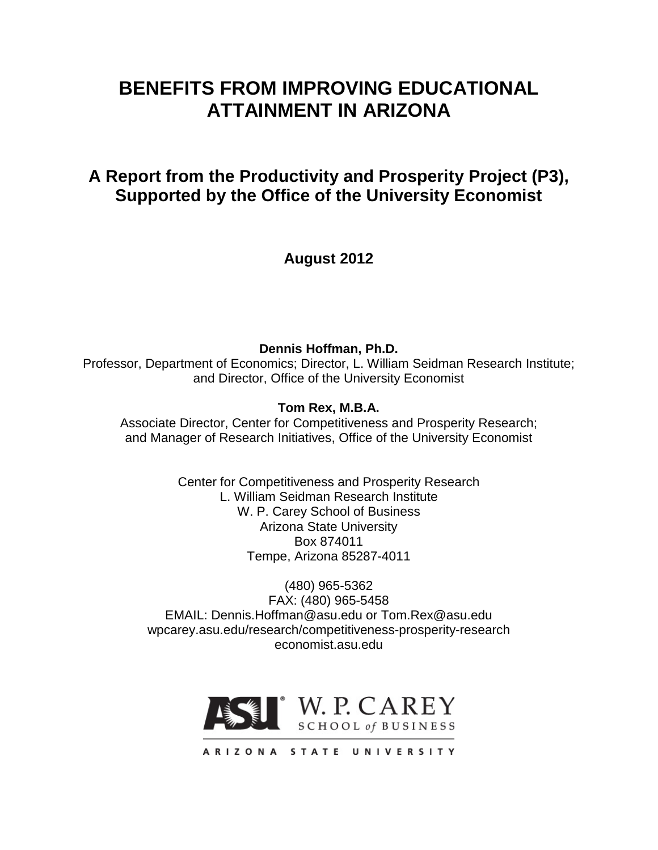# **BENEFITS FROM IMPROVING EDUCATIONAL ATTAINMENT IN ARIZONA**

# **A Report from the Productivity and Prosperity Project (P3), Supported by the Office of the University Economist**

**August 2012**

**Dennis Hoffman, Ph.D.** Professor, Department of Economics; Director, L. William Seidman Research Institute; and Director, Office of the University Economist

# **Tom Rex, M.B.A.**

Associate Director, Center for Competitiveness and Prosperity Research; and Manager of Research Initiatives, Office of the University Economist

> Center for Competitiveness and Prosperity Research L. William Seidman Research Institute W. P. Carey School of Business Arizona State University Box 874011 Tempe, Arizona 85287-4011

(480) 965-5362 FAX: (480) 965-5458 EMAIL: Dennis.Hoffman@asu.edu or Tom.Rex@asu.edu wpcarey.asu.edu/research/competitiveness-prosperity-research economist.asu.edu



ARIZONA STATE UNIVERSITY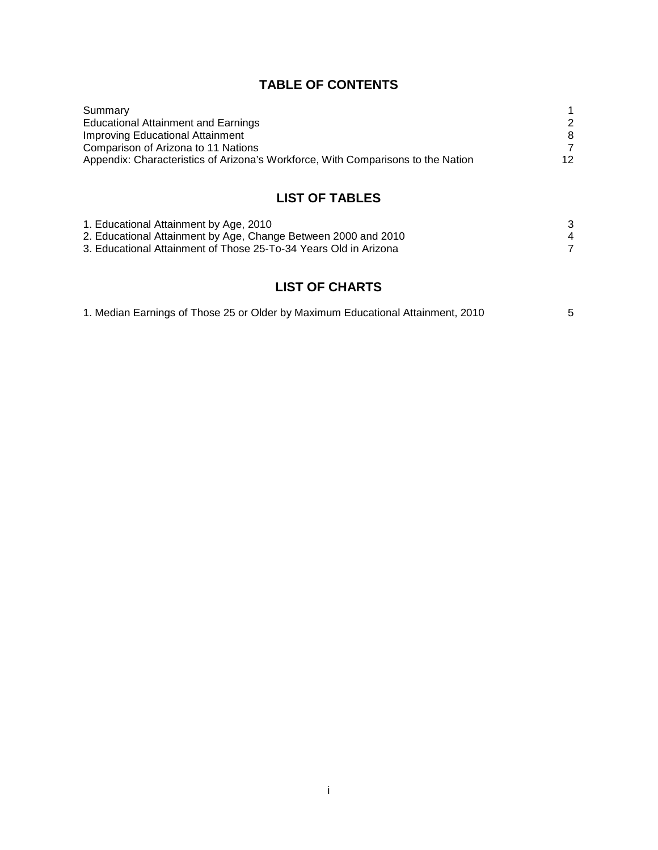# **TABLE OF CONTENTS**

| Summary                                                                          |    |
|----------------------------------------------------------------------------------|----|
| Educational Attainment and Earnings                                              | 2  |
| Improving Educational Attainment                                                 |    |
| Comparison of Arizona to 11 Nations                                              |    |
| Appendix: Characteristics of Arizona's Workforce, With Comparisons to the Nation | 12 |

# **LIST OF TABLES**

| 1. Educational Attainment by Age, 2010                           |   |
|------------------------------------------------------------------|---|
| 2. Educational Attainment by Age, Change Between 2000 and 2010   | 4 |
| 3. Educational Attainment of Those 25-To-34 Years Old in Arizona |   |

# **LIST OF CHARTS**

| 1. Median Earnings of Those 25 or Older by Maximum Educational Attainment, 2010 |  |
|---------------------------------------------------------------------------------|--|
|---------------------------------------------------------------------------------|--|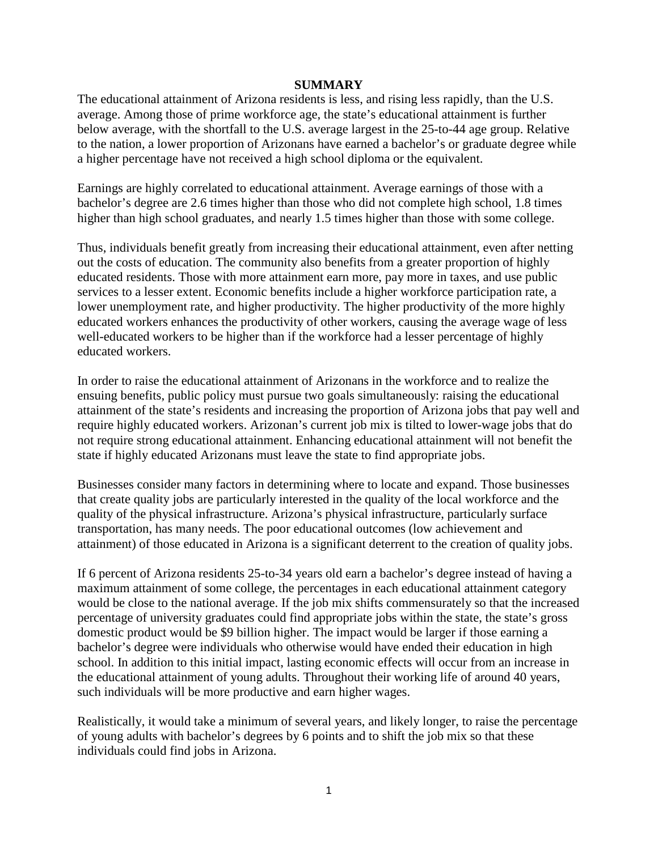#### **SUMMARY**

The educational attainment of Arizona residents is less, and rising less rapidly, than the U.S. average. Among those of prime workforce age, the state's educational attainment is further below average, with the shortfall to the U.S. average largest in the 25-to-44 age group. Relative to the nation, a lower proportion of Arizonans have earned a bachelor's or graduate degree while a higher percentage have not received a high school diploma or the equivalent.

Earnings are highly correlated to educational attainment. Average earnings of those with a bachelor's degree are 2.6 times higher than those who did not complete high school, 1.8 times higher than high school graduates, and nearly 1.5 times higher than those with some college.

Thus, individuals benefit greatly from increasing their educational attainment, even after netting out the costs of education. The community also benefits from a greater proportion of highly educated residents. Those with more attainment earn more, pay more in taxes, and use public services to a lesser extent. Economic benefits include a higher workforce participation rate, a lower unemployment rate, and higher productivity. The higher productivity of the more highly educated workers enhances the productivity of other workers, causing the average wage of less well-educated workers to be higher than if the workforce had a lesser percentage of highly educated workers.

In order to raise the educational attainment of Arizonans in the workforce and to realize the ensuing benefits, public policy must pursue two goals simultaneously: raising the educational attainment of the state's residents and increasing the proportion of Arizona jobs that pay well and require highly educated workers. Arizonan's current job mix is tilted to lower-wage jobs that do not require strong educational attainment. Enhancing educational attainment will not benefit the state if highly educated Arizonans must leave the state to find appropriate jobs.

Businesses consider many factors in determining where to locate and expand. Those businesses that create quality jobs are particularly interested in the quality of the local workforce and the quality of the physical infrastructure. Arizona's physical infrastructure, particularly surface transportation, has many needs. The poor educational outcomes (low achievement and attainment) of those educated in Arizona is a significant deterrent to the creation of quality jobs.

If 6 percent of Arizona residents 25-to-34 years old earn a bachelor's degree instead of having a maximum attainment of some college, the percentages in each educational attainment category would be close to the national average. If the job mix shifts commensurately so that the increased percentage of university graduates could find appropriate jobs within the state, the state's gross domestic product would be \$9 billion higher. The impact would be larger if those earning a bachelor's degree were individuals who otherwise would have ended their education in high school. In addition to this initial impact, lasting economic effects will occur from an increase in the educational attainment of young adults. Throughout their working life of around 40 years, such individuals will be more productive and earn higher wages.

Realistically, it would take a minimum of several years, and likely longer, to raise the percentage of young adults with bachelor's degrees by 6 points and to shift the job mix so that these individuals could find jobs in Arizona.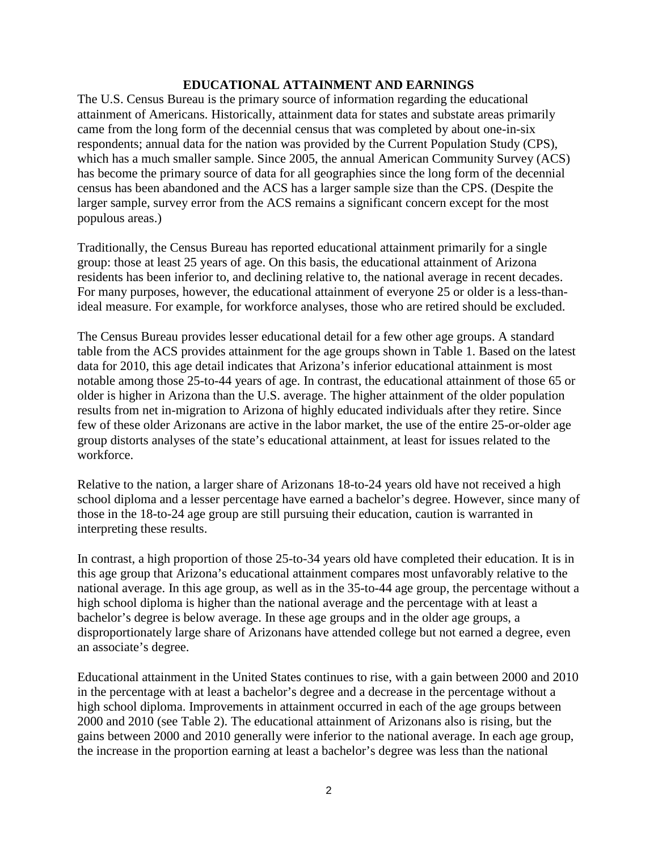#### **EDUCATIONAL ATTAINMENT AND EARNINGS**

The U.S. Census Bureau is the primary source of information regarding the educational attainment of Americans. Historically, attainment data for states and substate areas primarily came from the long form of the decennial census that was completed by about one-in-six respondents; annual data for the nation was provided by the Current Population Study (CPS), which has a much smaller sample. Since 2005, the annual American Community Survey (ACS) has become the primary source of data for all geographies since the long form of the decennial census has been abandoned and the ACS has a larger sample size than the CPS. (Despite the larger sample, survey error from the ACS remains a significant concern except for the most populous areas.)

Traditionally, the Census Bureau has reported educational attainment primarily for a single group: those at least 25 years of age. On this basis, the educational attainment of Arizona residents has been inferior to, and declining relative to, the national average in recent decades. For many purposes, however, the educational attainment of everyone 25 or older is a less-thanideal measure. For example, for workforce analyses, those who are retired should be excluded.

The Census Bureau provides lesser educational detail for a few other age groups. A standard table from the ACS provides attainment for the age groups shown in Table 1. Based on the latest data for 2010, this age detail indicates that Arizona's inferior educational attainment is most notable among those 25-to-44 years of age. In contrast, the educational attainment of those 65 or older is higher in Arizona than the U.S. average. The higher attainment of the older population results from net in-migration to Arizona of highly educated individuals after they retire. Since few of these older Arizonans are active in the labor market, the use of the entire 25-or-older age group distorts analyses of the state's educational attainment, at least for issues related to the workforce.

Relative to the nation, a larger share of Arizonans 18-to-24 years old have not received a high school diploma and a lesser percentage have earned a bachelor's degree. However, since many of those in the 18-to-24 age group are still pursuing their education, caution is warranted in interpreting these results.

In contrast, a high proportion of those 25-to-34 years old have completed their education. It is in this age group that Arizona's educational attainment compares most unfavorably relative to the national average. In this age group, as well as in the 35-to-44 age group, the percentage without a high school diploma is higher than the national average and the percentage with at least a bachelor's degree is below average. In these age groups and in the older age groups, a disproportionately large share of Arizonans have attended college but not earned a degree, even an associate's degree.

Educational attainment in the United States continues to rise, with a gain between 2000 and 2010 in the percentage with at least a bachelor's degree and a decrease in the percentage without a high school diploma. Improvements in attainment occurred in each of the age groups between 2000 and 2010 (see Table 2). The educational attainment of Arizonans also is rising, but the gains between 2000 and 2010 generally were inferior to the national average. In each age group, the increase in the proportion earning at least a bachelor's degree was less than the national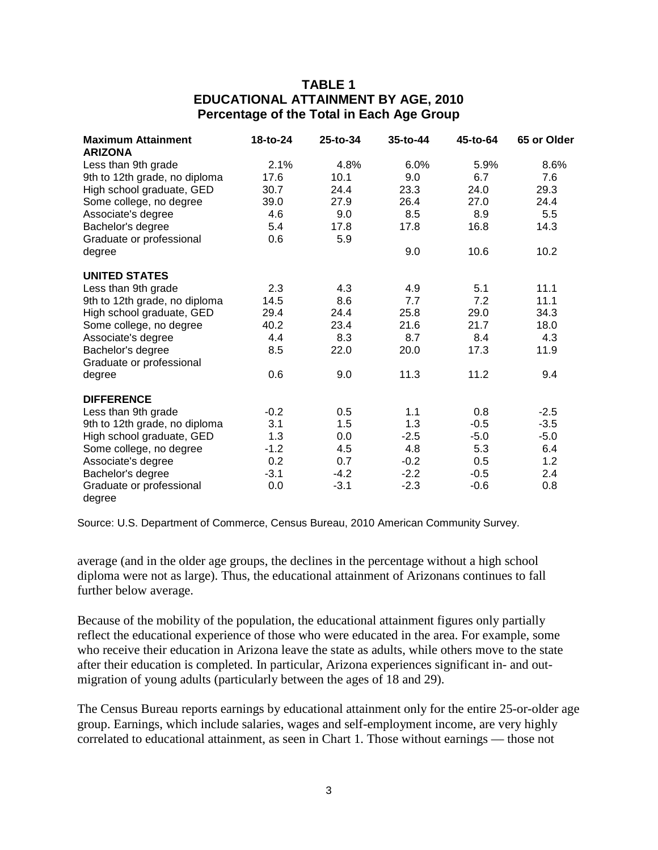### **TABLE 1 EDUCATIONAL ATTAINMENT BY AGE, 2010 Percentage of the Total in Each Age Group**

| <b>Maximum Attainment</b>     | 18-to-24 | 25-to-34 | 35-to-44 | 45-to-64 | 65 or Older |
|-------------------------------|----------|----------|----------|----------|-------------|
| <b>ARIZONA</b>                |          |          |          |          |             |
| Less than 9th grade           | 2.1%     | 4.8%     | 6.0%     | 5.9%     | 8.6%        |
| 9th to 12th grade, no diploma | 17.6     | 10.1     | 9.0      | 6.7      | 7.6         |
| High school graduate, GED     | 30.7     | 24.4     | 23.3     | 24.0     | 29.3        |
| Some college, no degree       | 39.0     | 27.9     | 26.4     | 27.0     | 24.4        |
| Associate's degree            | 4.6      | 9.0      | 8.5      | 8.9      | 5.5         |
| Bachelor's degree             | 5.4      | 17.8     | 17.8     | 16.8     | 14.3        |
| Graduate or professional      | 0.6      | 5.9      |          |          |             |
| degree                        |          |          | 9.0      | 10.6     | 10.2        |
| <b>UNITED STATES</b>          |          |          |          |          |             |
| Less than 9th grade           | 2.3      | 4.3      | 4.9      | 5.1      | 11.1        |
| 9th to 12th grade, no diploma | 14.5     | 8.6      | 7.7      | 7.2      | 11.1        |
| High school graduate, GED     | 29.4     | 24.4     | 25.8     | 29.0     | 34.3        |
| Some college, no degree       | 40.2     | 23.4     | 21.6     | 21.7     | 18.0        |
| Associate's degree            | 4.4      | 8.3      | 8.7      | 8.4      | 4.3         |
| Bachelor's degree             | 8.5      | 22.0     | 20.0     | 17.3     | 11.9        |
| Graduate or professional      |          |          |          |          |             |
| degree                        | 0.6      | 9.0      | 11.3     | 11.2     | 9.4         |
| <b>DIFFERENCE</b>             |          |          |          |          |             |
| Less than 9th grade           | $-0.2$   | 0.5      | 1.1      | 0.8      | $-2.5$      |
| 9th to 12th grade, no diploma | 3.1      | 1.5      | 1.3      | $-0.5$   | $-3.5$      |
| High school graduate, GED     | 1.3      | 0.0      | $-2.5$   | $-5.0$   | $-5.0$      |
| Some college, no degree       | $-1.2$   | 4.5      | 4.8      | 5.3      | 6.4         |
| Associate's degree            | 0.2      | 0.7      | $-0.2$   | 0.5      | 1.2         |
| Bachelor's degree             | $-3.1$   | $-4.2$   | $-2.2$   | $-0.5$   | 2.4         |
| Graduate or professional      | 0.0      | $-3.1$   | $-2.3$   | $-0.6$   | 0.8         |
| degree                        |          |          |          |          |             |

Source: U.S. Department of Commerce, Census Bureau, 2010 American Community Survey.

average (and in the older age groups, the declines in the percentage without a high school diploma were not as large). Thus, the educational attainment of Arizonans continues to fall further below average.

Because of the mobility of the population, the educational attainment figures only partially reflect the educational experience of those who were educated in the area. For example, some who receive their education in Arizona leave the state as adults, while others move to the state after their education is completed. In particular, Arizona experiences significant in- and outmigration of young adults (particularly between the ages of 18 and 29).

The Census Bureau reports earnings by educational attainment only for the entire 25-or-older age group. Earnings, which include salaries, wages and self-employment income, are very highly correlated to educational attainment, as seen in Chart 1. Those without earnings — those not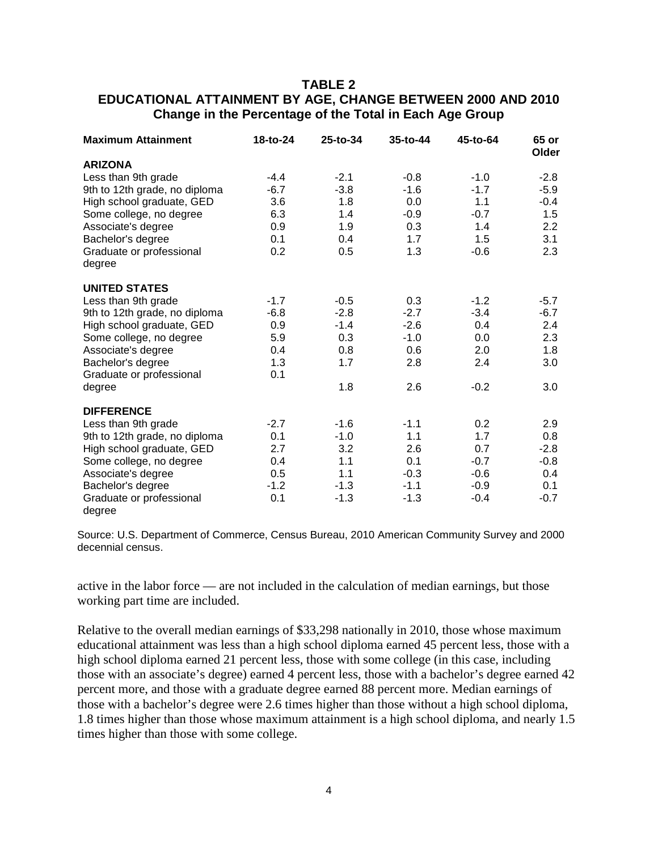### **TABLE 2 EDUCATIONAL ATTAINMENT BY AGE, CHANGE BETWEEN 2000 AND 2010 Change in the Percentage of the Total in Each Age Group**

| <b>Maximum Attainment</b>          | 18-to-24 | 25-to-34 | 35-to-44 | 45-to-64 | 65 or<br>Older   |
|------------------------------------|----------|----------|----------|----------|------------------|
| <b>ARIZONA</b>                     |          |          |          |          |                  |
| Less than 9th grade                | $-4.4$   | $-2.1$   | $-0.8$   | $-1.0$   | $-2.8$           |
| 9th to 12th grade, no diploma      | $-6.7$   | $-3.8$   | $-1.6$   | $-1.7$   | $-5.9$           |
| High school graduate, GED          | 3.6      | 1.8      | 0.0      | 1.1      | -0.4             |
| Some college, no degree            | 6.3      | 1.4      | $-0.9$   | $-0.7$   | 1.5              |
| Associate's degree                 | 0.9      | 1.9      | 0.3      | 1.4      | $2.2\phantom{0}$ |
| Bachelor's degree                  | 0.1      | 0.4      | 1.7      | 1.5      | 3.1              |
| Graduate or professional<br>degree | 0.2      | 0.5      | 1.3      | $-0.6$   | 2.3              |
| <b>UNITED STATES</b>               |          |          |          |          |                  |
| Less than 9th grade                | $-1.7$   | $-0.5$   | 0.3      | $-1.2$   | $-5.7$           |
| 9th to 12th grade, no diploma      | $-6.8$   | $-2.8$   | $-2.7$   | $-3.4$   | $-6.7$           |
| High school graduate, GED          | 0.9      | $-1.4$   | $-2.6$   | 0.4      | 2.4              |
| Some college, no degree            | 5.9      | 0.3      | $-1.0$   | 0.0      | 2.3              |
| Associate's degree                 | 0.4      | 0.8      | 0.6      | 2.0      | 1.8              |
| Bachelor's degree                  | 1.3      | 1.7      | 2.8      | 2.4      | 3.0              |
| Graduate or professional           | 0.1      |          |          |          |                  |
| degree                             |          | 1.8      | 2.6      | $-0.2$   | 3.0              |
| <b>DIFFERENCE</b>                  |          |          |          |          |                  |
| Less than 9th grade                | $-2.7$   | $-1.6$   | $-1.1$   | 0.2      | 2.9              |
| 9th to 12th grade, no diploma      | 0.1      | $-1.0$   | 1.1      | 1.7      | 0.8              |
| High school graduate, GED          | 2.7      | 3.2      | 2.6      | 0.7      | $-2.8$           |
| Some college, no degree            | 0.4      | 1.1      | 0.1      | $-0.7$   | $-0.8$           |
| Associate's degree                 | 0.5      | 1.1      | $-0.3$   | $-0.6$   | 0.4              |
| Bachelor's degree                  | $-1.2$   | $-1.3$   | $-1.1$   | $-0.9$   | 0.1              |
| Graduate or professional<br>degree | 0.1      | $-1.3$   | $-1.3$   | $-0.4$   | $-0.7$           |

Source: U.S. Department of Commerce, Census Bureau, 2010 American Community Survey and 2000 decennial census.

active in the labor force — are not included in the calculation of median earnings, but those working part time are included.

Relative to the overall median earnings of \$33,298 nationally in 2010, those whose maximum educational attainment was less than a high school diploma earned 45 percent less, those with a high school diploma earned 21 percent less, those with some college (in this case, including those with an associate's degree) earned 4 percent less, those with a bachelor's degree earned 42 percent more, and those with a graduate degree earned 88 percent more. Median earnings of those with a bachelor's degree were 2.6 times higher than those without a high school diploma, 1.8 times higher than those whose maximum attainment is a high school diploma, and nearly 1.5 times higher than those with some college.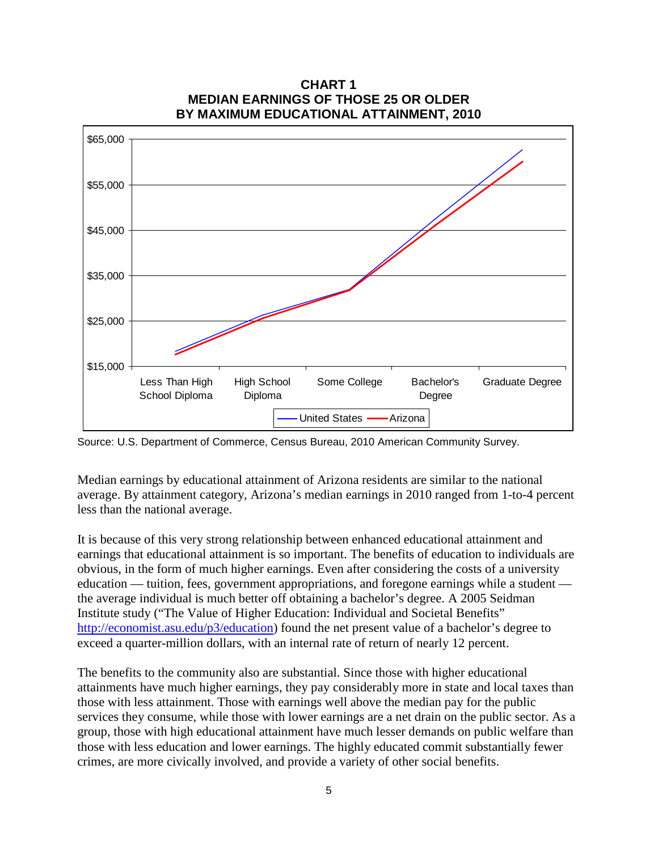

**CHART 1 MEDIAN EARNINGS OF THOSE 25 OR OLDER BY MAXIMUM EDUCATIONAL ATTAINMENT, 2010**

Median earnings by educational attainment of Arizona residents are similar to the national average. By attainment category, Arizona's median earnings in 2010 ranged from 1-to-4 percent less than the national average.

It is because of this very strong relationship between enhanced educational attainment and earnings that educational attainment is so important. The benefits of education to individuals are obvious, in the form of much higher earnings. Even after considering the costs of a university education — tuition, fees, government appropriations, and foregone earnings while a student the average individual is much better off obtaining a bachelor's degree. A 2005 Seidman Institute study ("The Value of Higher Education: Individual and Societal Benefits" [http://economist.asu.edu/p3/education\)](http://economist.asu.edu/p3/education) found the net present value of a bachelor's degree to exceed a quarter-million dollars, with an internal rate of return of nearly 12 percent.

The benefits to the community also are substantial. Since those with higher educational attainments have much higher earnings, they pay considerably more in state and local taxes than those with less attainment. Those with earnings well above the median pay for the public services they consume, while those with lower earnings are a net drain on the public sector. As a group, those with high educational attainment have much lesser demands on public welfare than those with less education and lower earnings. The highly educated commit substantially fewer crimes, are more civically involved, and provide a variety of other social benefits.

Source: U.S. Department of Commerce, Census Bureau, 2010 American Community Survey.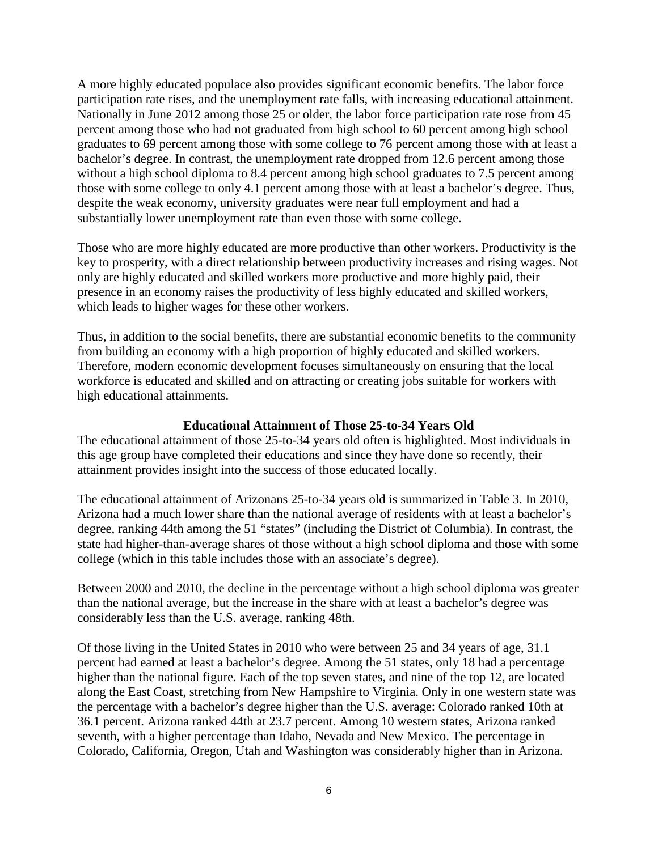A more highly educated populace also provides significant economic benefits. The labor force participation rate rises, and the unemployment rate falls, with increasing educational attainment. Nationally in June 2012 among those 25 or older, the labor force participation rate rose from 45 percent among those who had not graduated from high school to 60 percent among high school graduates to 69 percent among those with some college to 76 percent among those with at least a bachelor's degree. In contrast, the unemployment rate dropped from 12.6 percent among those without a high school diploma to 8.4 percent among high school graduates to 7.5 percent among those with some college to only 4.1 percent among those with at least a bachelor's degree. Thus, despite the weak economy, university graduates were near full employment and had a substantially lower unemployment rate than even those with some college.

Those who are more highly educated are more productive than other workers. Productivity is the key to prosperity, with a direct relationship between productivity increases and rising wages. Not only are highly educated and skilled workers more productive and more highly paid, their presence in an economy raises the productivity of less highly educated and skilled workers, which leads to higher wages for these other workers.

Thus, in addition to the social benefits, there are substantial economic benefits to the community from building an economy with a high proportion of highly educated and skilled workers. Therefore, modern economic development focuses simultaneously on ensuring that the local workforce is educated and skilled and on attracting or creating jobs suitable for workers with high educational attainments.

#### **Educational Attainment of Those 25-to-34 Years Old**

The educational attainment of those 25-to-34 years old often is highlighted. Most individuals in this age group have completed their educations and since they have done so recently, their attainment provides insight into the success of those educated locally.

The educational attainment of Arizonans 25-to-34 years old is summarized in Table 3. In 2010, Arizona had a much lower share than the national average of residents with at least a bachelor's degree, ranking 44th among the 51 "states" (including the District of Columbia). In contrast, the state had higher-than-average shares of those without a high school diploma and those with some college (which in this table includes those with an associate's degree).

Between 2000 and 2010, the decline in the percentage without a high school diploma was greater than the national average, but the increase in the share with at least a bachelor's degree was considerably less than the U.S. average, ranking 48th.

Of those living in the United States in 2010 who were between 25 and 34 years of age, 31.1 percent had earned at least a bachelor's degree. Among the 51 states, only 18 had a percentage higher than the national figure. Each of the top seven states, and nine of the top 12, are located along the East Coast, stretching from New Hampshire to Virginia. Only in one western state was the percentage with a bachelor's degree higher than the U.S. average: Colorado ranked 10th at 36.1 percent. Arizona ranked 44th at 23.7 percent. Among 10 western states, Arizona ranked seventh, with a higher percentage than Idaho, Nevada and New Mexico. The percentage in Colorado, California, Oregon, Utah and Washington was considerably higher than in Arizona.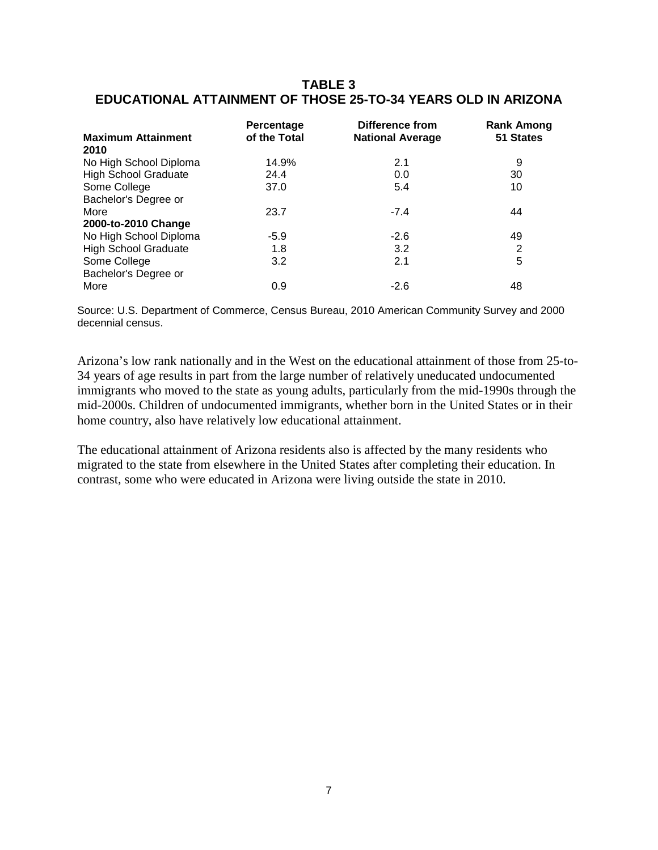#### **TABLE 3 EDUCATIONAL ATTAINMENT OF THOSE 25-TO-34 YEARS OLD IN ARIZONA**

|                             | Percentage   | Difference from         | <b>Rank Among</b> |
|-----------------------------|--------------|-------------------------|-------------------|
| <b>Maximum Attainment</b>   | of the Total | <b>National Average</b> | 51 States         |
| 2010                        |              |                         |                   |
| No High School Diploma      | 14.9%        | 2.1                     | 9                 |
| <b>High School Graduate</b> | 24.4         | 0.0                     | 30                |
| Some College                | 37.0         | 5.4                     | 10                |
| Bachelor's Degree or        |              |                         |                   |
| More                        | 23.7         | $-7.4$                  | 44                |
| 2000-to-2010 Change         |              |                         |                   |
| No High School Diploma      | $-5.9$       | $-2.6$                  | 49                |
| <b>High School Graduate</b> | 1.8          | 3.2                     | 2                 |
| Some College                | 3.2          | 2.1                     | 5                 |
| Bachelor's Degree or        |              |                         |                   |
| More                        | 0.9          | $-2.6$                  | 48                |

Source: U.S. Department of Commerce, Census Bureau, 2010 American Community Survey and 2000 decennial census.

Arizona's low rank nationally and in the West on the educational attainment of those from 25-to-34 years of age results in part from the large number of relatively uneducated undocumented immigrants who moved to the state as young adults, particularly from the mid-1990s through the mid-2000s. Children of undocumented immigrants, whether born in the United States or in their home country, also have relatively low educational attainment.

The educational attainment of Arizona residents also is affected by the many residents who migrated to the state from elsewhere in the United States after completing their education. In contrast, some who were educated in Arizona were living outside the state in 2010.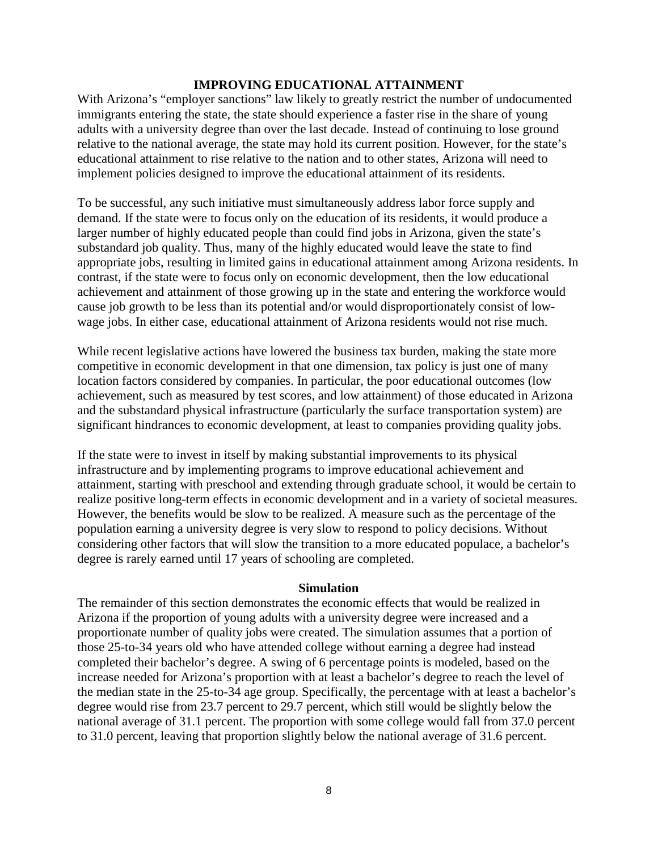#### **IMPROVING EDUCATIONAL ATTAINMENT**

With Arizona's "employer sanctions" law likely to greatly restrict the number of undocumented immigrants entering the state, the state should experience a faster rise in the share of young adults with a university degree than over the last decade. Instead of continuing to lose ground relative to the national average, the state may hold its current position. However, for the state's educational attainment to rise relative to the nation and to other states, Arizona will need to implement policies designed to improve the educational attainment of its residents.

To be successful, any such initiative must simultaneously address labor force supply and demand. If the state were to focus only on the education of its residents, it would produce a larger number of highly educated people than could find jobs in Arizona, given the state's substandard job quality. Thus, many of the highly educated would leave the state to find appropriate jobs, resulting in limited gains in educational attainment among Arizona residents. In contrast, if the state were to focus only on economic development, then the low educational achievement and attainment of those growing up in the state and entering the workforce would cause job growth to be less than its potential and/or would disproportionately consist of lowwage jobs. In either case, educational attainment of Arizona residents would not rise much.

While recent legislative actions have lowered the business tax burden, making the state more competitive in economic development in that one dimension, tax policy is just one of many location factors considered by companies. In particular, the poor educational outcomes (low achievement, such as measured by test scores, and low attainment) of those educated in Arizona and the substandard physical infrastructure (particularly the surface transportation system) are significant hindrances to economic development, at least to companies providing quality jobs.

If the state were to invest in itself by making substantial improvements to its physical infrastructure and by implementing programs to improve educational achievement and attainment, starting with preschool and extending through graduate school, it would be certain to realize positive long-term effects in economic development and in a variety of societal measures. However, the benefits would be slow to be realized. A measure such as the percentage of the population earning a university degree is very slow to respond to policy decisions. Without considering other factors that will slow the transition to a more educated populace, a bachelor's degree is rarely earned until 17 years of schooling are completed.

#### **Simulation**

The remainder of this section demonstrates the economic effects that would be realized in Arizona if the proportion of young adults with a university degree were increased and a proportionate number of quality jobs were created. The simulation assumes that a portion of those 25-to-34 years old who have attended college without earning a degree had instead completed their bachelor's degree. A swing of 6 percentage points is modeled, based on the increase needed for Arizona's proportion with at least a bachelor's degree to reach the level of the median state in the 25-to-34 age group. Specifically, the percentage with at least a bachelor's degree would rise from 23.7 percent to 29.7 percent, which still would be slightly below the national average of 31.1 percent. The proportion with some college would fall from 37.0 percent to 31.0 percent, leaving that proportion slightly below the national average of 31.6 percent.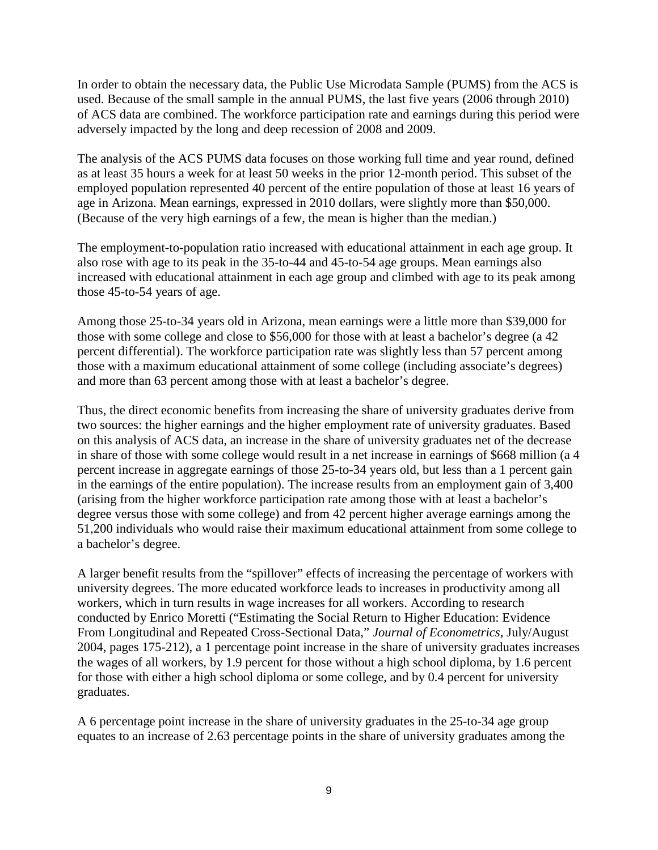In order to obtain the necessary data, the Public Use Microdata Sample (PUMS) from the ACS is used. Because of the small sample in the annual PUMS, the last five years (2006 through 2010) of ACS data are combined. The workforce participation rate and earnings during this period were adversely impacted by the long and deep recession of 2008 and 2009.

The analysis of the ACS PUMS data focuses on those working full time and year round, defined as at least 35 hours a week for at least 50 weeks in the prior 12-month period. This subset of the employed population represented 40 percent of the entire population of those at least 16 years of age in Arizona. Mean earnings, expressed in 2010 dollars, were slightly more than \$50,000. (Because of the very high earnings of a few, the mean is higher than the median.)

The employment-to-population ratio increased with educational attainment in each age group. It also rose with age to its peak in the 35-to-44 and 45-to-54 age groups. Mean earnings also increased with educational attainment in each age group and climbed with age to its peak among those 45-to-54 years of age.

Among those 25-to-34 years old in Arizona, mean earnings were a little more than \$39,000 for those with some college and close to \$56,000 for those with at least a bachelor's degree (a 42 percent differential). The workforce participation rate was slightly less than 57 percent among those with a maximum educational attainment of some college (including associate's degrees) and more than 63 percent among those with at least a bachelor's degree.

Thus, the direct economic benefits from increasing the share of university graduates derive from two sources: the higher earnings and the higher employment rate of university graduates. Based on this analysis of ACS data, an increase in the share of university graduates net of the decrease in share of those with some college would result in a net increase in earnings of \$668 million (a 4 percent increase in aggregate earnings of those 25-to-34 years old, but less than a 1 percent gain in the earnings of the entire population). The increase results from an employment gain of 3,400 (arising from the higher workforce participation rate among those with at least a bachelor's degree versus those with some college) and from 42 percent higher average earnings among the 51,200 individuals who would raise their maximum educational attainment from some college to a bachelor's degree.

A larger benefit results from the "spillover" effects of increasing the percentage of workers with university degrees. The more educated workforce leads to increases in productivity among all workers, which in turn results in wage increases for all workers. According to research conducted by Enrico Moretti ("Estimating the Social Return to Higher Education: Evidence From Longitudinal and Repeated Cross-Sectional Data," *Journal of Econometrics*, July/August 2004, pages 175-212), a 1 percentage point increase in the share of university graduates increases the wages of all workers, by 1.9 percent for those without a high school diploma, by 1.6 percent for those with either a high school diploma or some college, and by 0.4 percent for university graduates.

A 6 percentage point increase in the share of university graduates in the 25-to-34 age group equates to an increase of 2.63 percentage points in the share of university graduates among the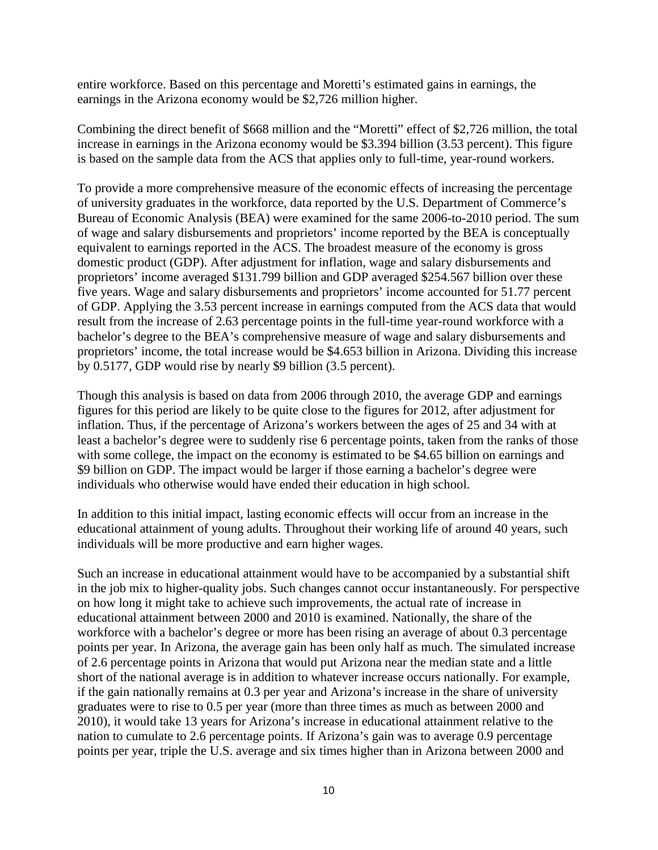entire workforce. Based on this percentage and Moretti's estimated gains in earnings, the earnings in the Arizona economy would be \$2,726 million higher.

Combining the direct benefit of \$668 million and the "Moretti" effect of \$2,726 million, the total increase in earnings in the Arizona economy would be \$3.394 billion (3.53 percent). This figure is based on the sample data from the ACS that applies only to full-time, year-round workers.

To provide a more comprehensive measure of the economic effects of increasing the percentage of university graduates in the workforce, data reported by the U.S. Department of Commerce's Bureau of Economic Analysis (BEA) were examined for the same 2006-to-2010 period. The sum of wage and salary disbursements and proprietors' income reported by the BEA is conceptually equivalent to earnings reported in the ACS. The broadest measure of the economy is gross domestic product (GDP). After adjustment for inflation, wage and salary disbursements and proprietors' income averaged \$131.799 billion and GDP averaged \$254.567 billion over these five years. Wage and salary disbursements and proprietors' income accounted for 51.77 percent of GDP. Applying the 3.53 percent increase in earnings computed from the ACS data that would result from the increase of 2.63 percentage points in the full-time year-round workforce with a bachelor's degree to the BEA's comprehensive measure of wage and salary disbursements and proprietors' income, the total increase would be \$4.653 billion in Arizona. Dividing this increase by 0.5177, GDP would rise by nearly \$9 billion (3.5 percent).

Though this analysis is based on data from 2006 through 2010, the average GDP and earnings figures for this period are likely to be quite close to the figures for 2012, after adjustment for inflation. Thus, if the percentage of Arizona's workers between the ages of 25 and 34 with at least a bachelor's degree were to suddenly rise 6 percentage points, taken from the ranks of those with some college, the impact on the economy is estimated to be \$4.65 billion on earnings and \$9 billion on GDP. The impact would be larger if those earning a bachelor's degree were individuals who otherwise would have ended their education in high school.

In addition to this initial impact, lasting economic effects will occur from an increase in the educational attainment of young adults. Throughout their working life of around 40 years, such individuals will be more productive and earn higher wages.

Such an increase in educational attainment would have to be accompanied by a substantial shift in the job mix to higher-quality jobs. Such changes cannot occur instantaneously. For perspective on how long it might take to achieve such improvements, the actual rate of increase in educational attainment between 2000 and 2010 is examined. Nationally, the share of the workforce with a bachelor's degree or more has been rising an average of about 0.3 percentage points per year. In Arizona, the average gain has been only half as much. The simulated increase of 2.6 percentage points in Arizona that would put Arizona near the median state and a little short of the national average is in addition to whatever increase occurs nationally. For example, if the gain nationally remains at 0.3 per year and Arizona's increase in the share of university graduates were to rise to 0.5 per year (more than three times as much as between 2000 and 2010), it would take 13 years for Arizona's increase in educational attainment relative to the nation to cumulate to 2.6 percentage points. If Arizona's gain was to average 0.9 percentage points per year, triple the U.S. average and six times higher than in Arizona between 2000 and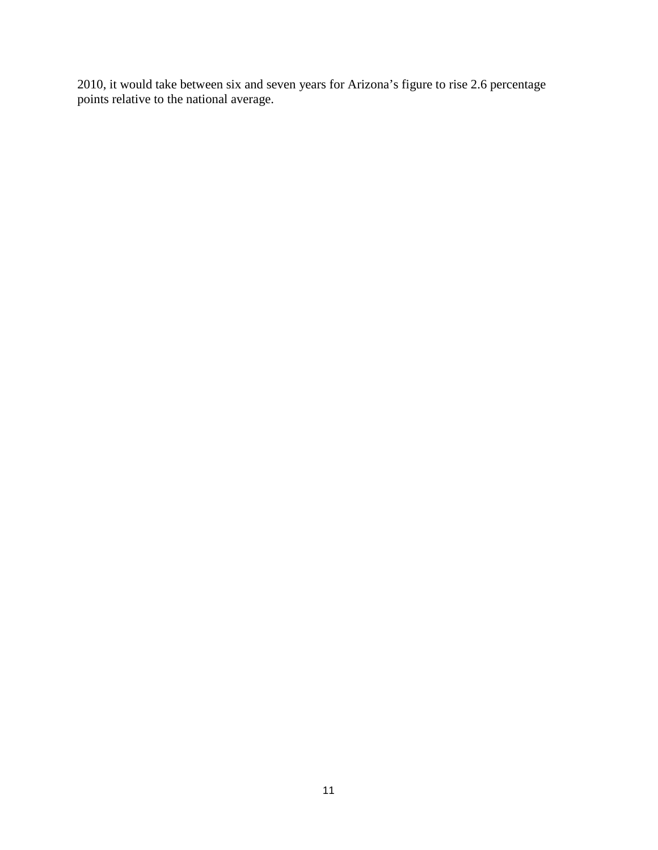2010, it would take between six and seven years for Arizona's figure to rise 2.6 percentage points relative to the national average.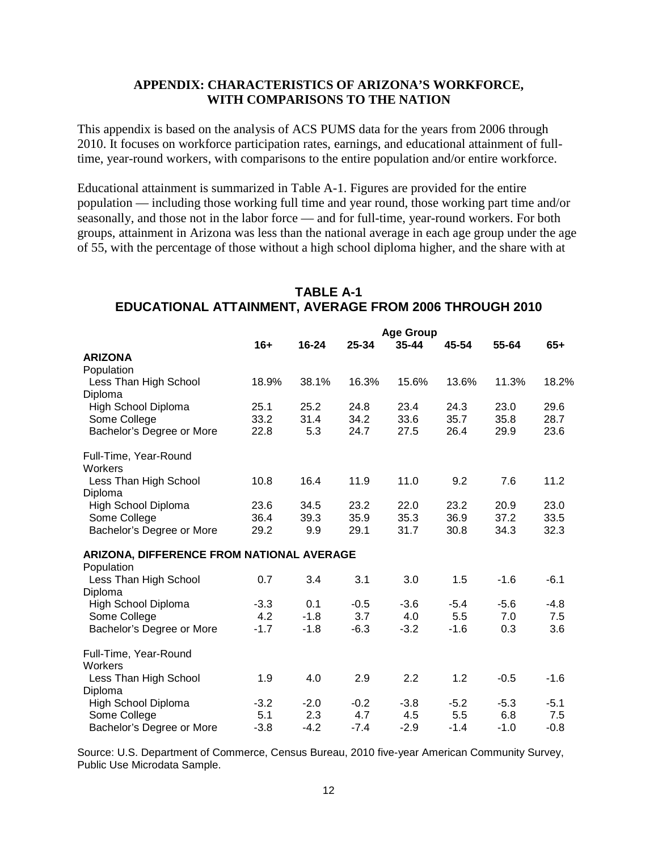#### **APPENDIX: CHARACTERISTICS OF ARIZONA'S WORKFORCE, WITH COMPARISONS TO THE NATION**

This appendix is based on the analysis of ACS PUMS data for the years from 2006 through 2010. It focuses on workforce participation rates, earnings, and educational attainment of fulltime, year-round workers, with comparisons to the entire population and/or entire workforce.

Educational attainment is summarized in Table A-1. Figures are provided for the entire population — including those working full time and year round, those working part time and/or seasonally, and those not in the labor force — and for full-time, year-round workers. For both groups, attainment in Arizona was less than the national average in each age group under the age of 55, with the percentage of those without a high school diploma higher, and the share with at

|                                           | <b>Age Group</b> |           |        |           |        |        |        |
|-------------------------------------------|------------------|-----------|--------|-----------|--------|--------|--------|
|                                           | $16+$            | $16 - 24$ | 25-34  | $35 - 44$ | 45-54  | 55-64  | $65+$  |
| <b>ARIZONA</b>                            |                  |           |        |           |        |        |        |
| Population                                |                  |           |        |           |        |        |        |
| Less Than High School                     | 18.9%            | 38.1%     | 16.3%  | 15.6%     | 13.6%  | 11.3%  | 18.2%  |
| Diploma                                   |                  |           |        |           |        |        |        |
| High School Diploma                       | 25.1             | 25.2      | 24.8   | 23.4      | 24.3   | 23.0   | 29.6   |
| Some College                              | 33.2             | 31.4      | 34.2   | 33.6      | 35.7   | 35.8   | 28.7   |
| Bachelor's Degree or More                 | 22.8             | 5.3       | 24.7   | 27.5      | 26.4   | 29.9   | 23.6   |
| Full-Time, Year-Round                     |                  |           |        |           |        |        |        |
| Workers                                   |                  |           |        |           |        |        |        |
| Less Than High School                     | 10.8             | 16.4      | 11.9   | 11.0      | 9.2    | 7.6    | 11.2   |
| Diploma                                   |                  |           |        |           |        |        |        |
| High School Diploma                       | 23.6             | 34.5      | 23.2   | 22.0      | 23.2   | 20.9   | 23.0   |
| Some College                              | 36.4             | 39.3      | 35.9   | 35.3      | 36.9   | 37.2   | 33.5   |
| Bachelor's Degree or More                 | 29.2             | 9.9       | 29.1   | 31.7      | 30.8   | 34.3   | 32.3   |
| ARIZONA, DIFFERENCE FROM NATIONAL AVERAGE |                  |           |        |           |        |        |        |
| Population                                |                  |           |        |           |        |        |        |
| Less Than High School                     | 0.7              | 3.4       | 3.1    | 3.0       | 1.5    | $-1.6$ | $-6.1$ |
| Diploma                                   |                  |           |        |           |        |        |        |
| High School Diploma                       | $-3.3$           | 0.1       | $-0.5$ | $-3.6$    | $-5.4$ | $-5.6$ | $-4.8$ |
| Some College                              | 4.2              | $-1.8$    | 3.7    | 4.0       | 5.5    | 7.0    | 7.5    |
| Bachelor's Degree or More                 | $-1.7$           | $-1.8$    | $-6.3$ | $-3.2$    | $-1.6$ | 0.3    | 3.6    |
| Full-Time, Year-Round                     |                  |           |        |           |        |        |        |
| Workers                                   |                  |           |        |           |        |        |        |
| Less Than High School                     | 1.9              | 4.0       | 2.9    | 2.2       | 1.2    | $-0.5$ | $-1.6$ |
| Diploma                                   |                  |           |        |           |        |        |        |
| High School Diploma                       | $-3.2$           | $-2.0$    | $-0.2$ | $-3.8$    | $-5.2$ | $-5.3$ | $-5.1$ |
| Some College                              | 5.1              | 2.3       | 4.7    | 4.5       | 5.5    | 6.8    | 7.5    |
| Bachelor's Degree or More                 | $-3.8$           | $-4.2$    | $-7.4$ | $-2.9$    | $-1.4$ | $-1.0$ | $-0.8$ |

# **TABLE A-1 EDUCATIONAL ATTAINMENT, AVERAGE FROM 2006 THROUGH 2010**

Source: U.S. Department of Commerce, Census Bureau, 2010 five-year American Community Survey, Public Use Microdata Sample.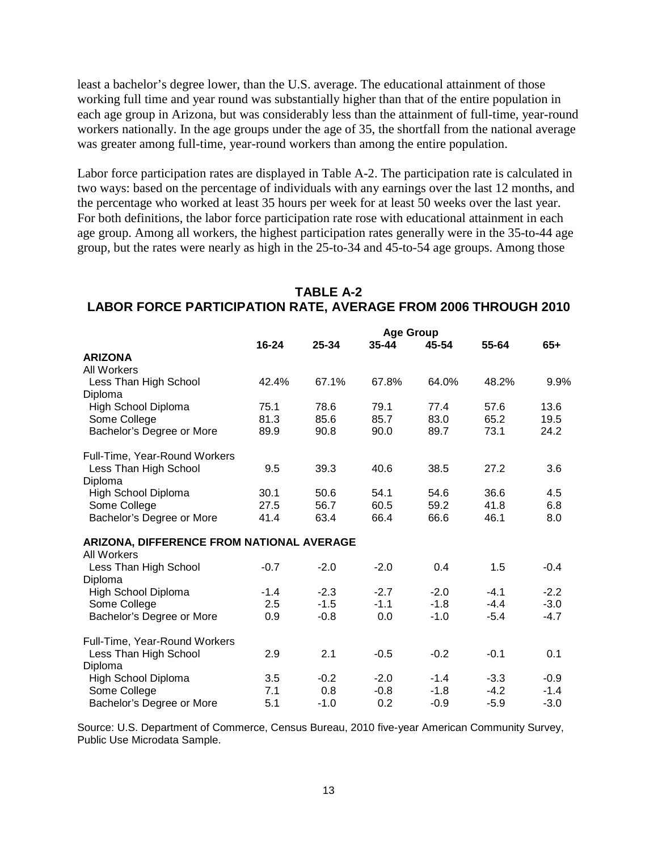least a bachelor's degree lower, than the U.S. average. The educational attainment of those working full time and year round was substantially higher than that of the entire population in each age group in Arizona, but was considerably less than the attainment of full-time, year-round workers nationally. In the age groups under the age of 35, the shortfall from the national average was greater among full-time, year-round workers than among the entire population.

Labor force participation rates are displayed in Table A-2. The participation rate is calculated in two ways: based on the percentage of individuals with any earnings over the last 12 months, and the percentage who worked at least 35 hours per week for at least 50 weeks over the last year. For both definitions, the labor force participation rate rose with educational attainment in each age group. Among all workers, the highest participation rates generally were in the 35-to-44 age group, but the rates were nearly as high in the 25-to-34 and 45-to-54 age groups. Among those

# **TABLE A-2 LABOR FORCE PARTICIPATION RATE, AVERAGE FROM 2006 THROUGH 2010**

|                                           | <b>Age Group</b> |        |           |        |        |        |  |  |
|-------------------------------------------|------------------|--------|-----------|--------|--------|--------|--|--|
|                                           | 16-24            | 25-34  | $35 - 44$ | 45-54  | 55-64  | $65+$  |  |  |
| <b>ARIZONA</b>                            |                  |        |           |        |        |        |  |  |
| All Workers                               |                  |        |           |        |        |        |  |  |
| Less Than High School                     | 42.4%            | 67.1%  | 67.8%     | 64.0%  | 48.2%  | 9.9%   |  |  |
| Diploma                                   |                  |        |           |        |        |        |  |  |
| High School Diploma                       | 75.1             | 78.6   | 79.1      | 77.4   | 57.6   | 13.6   |  |  |
| Some College                              | 81.3             | 85.6   | 85.7      | 83.0   | 65.2   | 19.5   |  |  |
| Bachelor's Degree or More                 | 89.9             | 90.8   | 90.0      | 89.7   | 73.1   | 24.2   |  |  |
| Full-Time, Year-Round Workers             |                  |        |           |        |        |        |  |  |
| Less Than High School                     | 9.5              | 39.3   | 40.6      | 38.5   | 27.2   | 3.6    |  |  |
| Diploma                                   |                  |        |           |        |        |        |  |  |
| High School Diploma                       | 30.1             | 50.6   | 54.1      | 54.6   | 36.6   | 4.5    |  |  |
| Some College                              | 27.5             | 56.7   | 60.5      | 59.2   | 41.8   | 6.8    |  |  |
| Bachelor's Degree or More                 | 41.4             | 63.4   | 66.4      | 66.6   | 46.1   | 8.0    |  |  |
| ARIZONA, DIFFERENCE FROM NATIONAL AVERAGE |                  |        |           |        |        |        |  |  |
| All Workers                               |                  |        |           |        |        |        |  |  |
| Less Than High School                     | $-0.7$           | $-2.0$ | $-2.0$    | 0.4    | 1.5    | $-0.4$ |  |  |
| Diploma                                   |                  |        |           |        |        |        |  |  |
| High School Diploma                       | $-1.4$           | $-2.3$ | $-2.7$    | $-2.0$ | $-4.1$ | $-2.2$ |  |  |
| Some College                              | 2.5              | $-1.5$ | $-1.1$    | $-1.8$ | $-4.4$ | $-3.0$ |  |  |
| Bachelor's Degree or More                 | 0.9              | $-0.8$ | 0.0       | $-1.0$ | $-5.4$ | $-4.7$ |  |  |
| Full-Time, Year-Round Workers             |                  |        |           |        |        |        |  |  |
| Less Than High School                     | 2.9              | 2.1    | $-0.5$    | $-0.2$ | $-0.1$ | 0.1    |  |  |
| Diploma                                   |                  |        |           |        |        |        |  |  |
| High School Diploma                       | 3.5              | $-0.2$ | $-2.0$    | $-1.4$ | $-3.3$ | $-0.9$ |  |  |
| Some College                              | 7.1              | 0.8    | $-0.8$    | $-1.8$ | $-4.2$ | $-1.4$ |  |  |
| Bachelor's Degree or More                 | 5.1              | $-1.0$ | 0.2       | $-0.9$ | $-5.9$ | $-3.0$ |  |  |

Source: U.S. Department of Commerce, Census Bureau, 2010 five-year American Community Survey, Public Use Microdata Sample.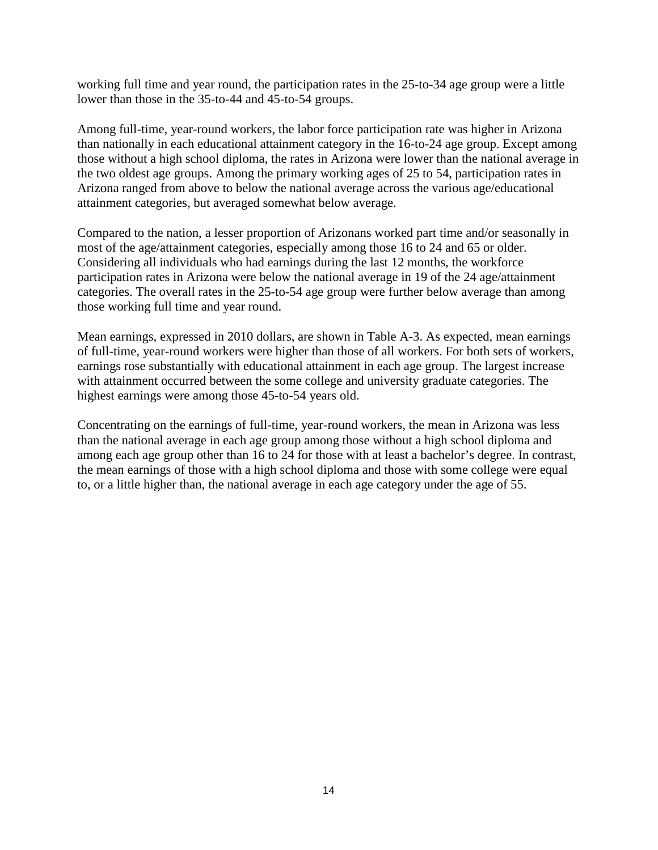working full time and year round, the participation rates in the 25-to-34 age group were a little lower than those in the 35-to-44 and 45-to-54 groups.

Among full-time, year-round workers, the labor force participation rate was higher in Arizona than nationally in each educational attainment category in the 16-to-24 age group. Except among those without a high school diploma, the rates in Arizona were lower than the national average in the two oldest age groups. Among the primary working ages of 25 to 54, participation rates in Arizona ranged from above to below the national average across the various age/educational attainment categories, but averaged somewhat below average.

Compared to the nation, a lesser proportion of Arizonans worked part time and/or seasonally in most of the age/attainment categories, especially among those 16 to 24 and 65 or older. Considering all individuals who had earnings during the last 12 months, the workforce participation rates in Arizona were below the national average in 19 of the 24 age/attainment categories. The overall rates in the 25-to-54 age group were further below average than among those working full time and year round.

Mean earnings, expressed in 2010 dollars, are shown in Table A-3. As expected, mean earnings of full-time, year-round workers were higher than those of all workers. For both sets of workers, earnings rose substantially with educational attainment in each age group. The largest increase with attainment occurred between the some college and university graduate categories. The highest earnings were among those 45-to-54 years old.

Concentrating on the earnings of full-time, year-round workers, the mean in Arizona was less than the national average in each age group among those without a high school diploma and among each age group other than 16 to 24 for those with at least a bachelor's degree. In contrast, the mean earnings of those with a high school diploma and those with some college were equal to, or a little higher than, the national average in each age category under the age of 55.